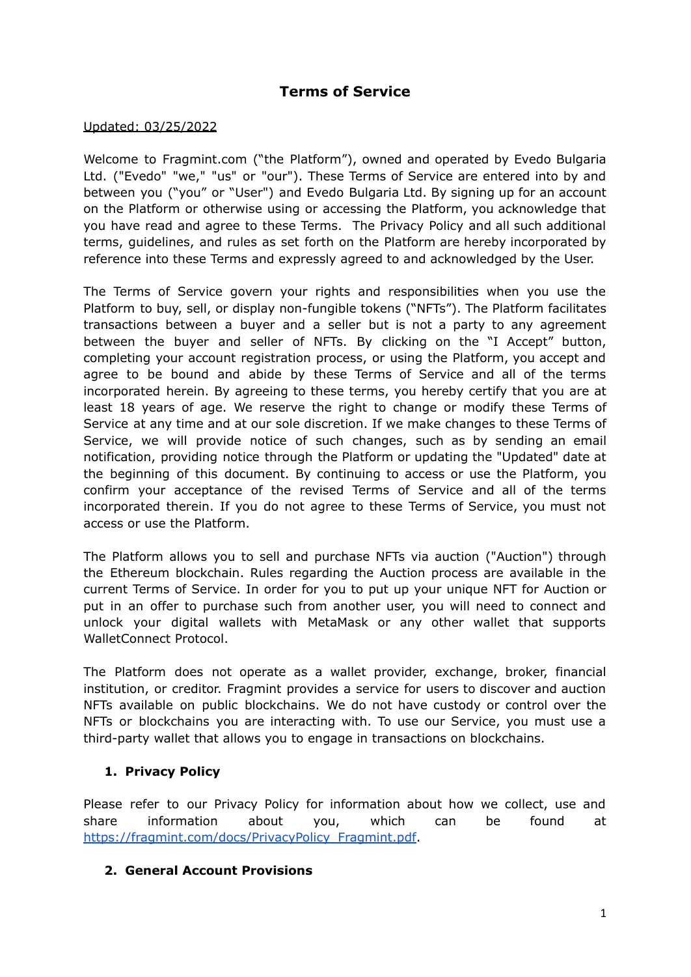# **Terms of Service**

#### Updated: 03/25/2022

Welcome to Fragmint.com ("the Platform"), owned and operated by Evedo Bulgaria Ltd. ("Evedo" "we," "us" or "our"). These Terms of Service are entered into by and between you ("you" or "User") and Evedo Bulgaria Ltd. By signing up for an account on the Platform or otherwise using or accessing the Platform, you acknowledge that you have read and agree to these Terms. The Privacy Policy and all such additional terms, guidelines, and rules as set forth on the Platform are hereby incorporated by reference into these Terms and expressly agreed to and acknowledged by the User.

The Terms of Service govern your rights and responsibilities when you use the Platform to buy, sell, or display non-fungible tokens ("NFTs"). The Platform facilitates transactions between a buyer and a seller but is not a party to any agreement between the buyer and seller of NFTs. By clicking on the "I Accept" button, completing your account registration process, or using the Platform, you accept and agree to be bound and abide by these Terms of Service and all of the terms incorporated herein. By agreeing to these terms, you hereby certify that you are at least 18 years of age. We reserve the right to change or modify these Terms of Service at any time and at our sole discretion. If we make changes to these Terms of Service, we will provide notice of such changes, such as by sending an email notification, providing notice through the Platform or updating the "Updated" date at the beginning of this document. By continuing to access or use the Platform, you confirm your acceptance of the revised Terms of Service and all of the terms incorporated therein. If you do not agree to these Terms of Service, you must not access or use the Platform.

The Platform allows you to sell and purchase NFTs via auction ("Auction") through the Ethereum blockchain. Rules regarding the Auction process are available in the current Terms of Service. In order for you to put up your unique NFT for Auction or put in an offer to purchase such from another user, you will need to connect and unlock your digital wallets with MetaMask or any other wallet that supports WalletConnect Protocol.

The Platform does not operate as a wallet provider, exchange, broker, financial institution, or creditor. Fragmint provides a service for users to discover and auction NFTs available on public blockchains. We do not have custody or control over the NFTs or blockchains you are interacting with. To use our Service, you must use a third-party wallet that allows you to engage in transactions on blockchains.

## **1. Privacy Policy**

Please refer to our Privacy Policy for information about how we collect, use and share information about you, which can be found at [https://fragmint.com/docs/PrivacyPolicy\\_Fragmint.pdf](https://fragmint.com/docs/PrivacyPolicy_Fragmint.pdf).

#### **2. General Account Provisions**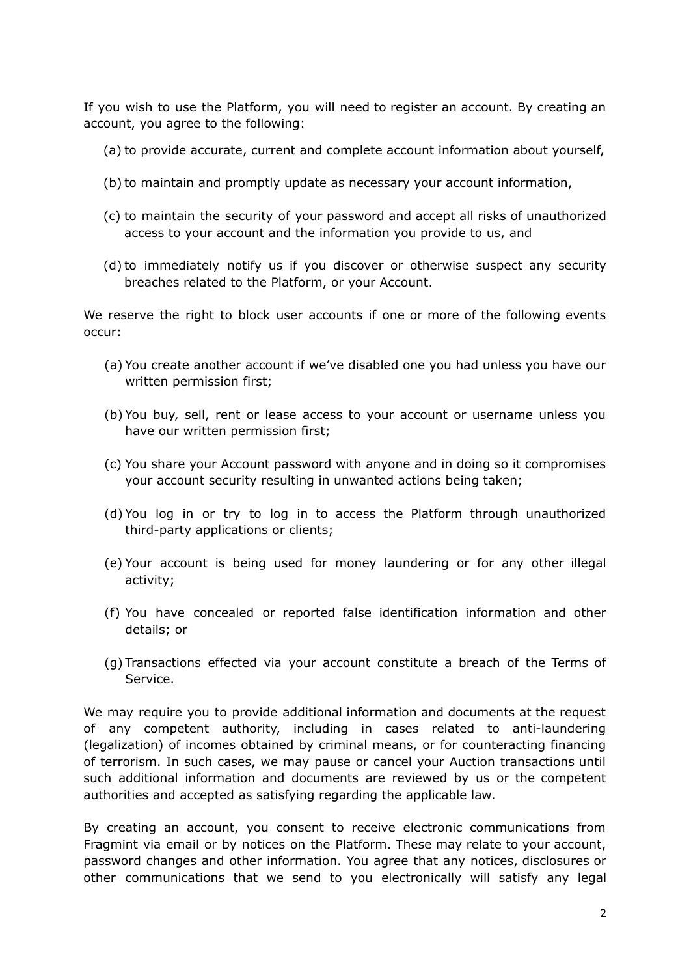If you wish to use the Platform, you will need to register an account. By creating an account, you agree to the following:

- (a) to provide accurate, current and complete account information about yourself,
- (b) to maintain and promptly update as necessary your account information,
- (c) to maintain the security of your password and accept all risks of unauthorized access to your account and the information you provide to us, and
- (d) to immediately notify us if you discover or otherwise suspect any security breaches related to the Platform, or your Account.

We reserve the right to block user accounts if one or more of the following events occur:

- (a) You create another account if we've disabled one you had unless you have our written permission first;
- (b) You buy, sell, rent or lease access to your account or username unless you have our written permission first;
- (c) You share your Account password with anyone and in doing so it compromises your account security resulting in unwanted actions being taken;
- (d) You log in or try to log in to access the Platform through unauthorized third-party applications or clients;
- (e) Your account is being used for money laundering or for any other illegal activity;
- (f) You have concealed or reported false identification information and other details; or
- (g) Transactions effected via your account constitute a breach of the Terms of Service.

We may require you to provide additional information and documents at the request of any competent authority, including in cases related to anti-laundering (legalization) of incomes obtained by criminal means, or for counteracting financing of terrorism. In such cases, we may pause or cancel your Auction transactions until such additional information and documents are reviewed by us or the competent authorities and accepted as satisfying regarding the applicable law.

By creating an account, you consent to receive electronic communications from Fragmint via email or by notices on the Platform. These may relate to your account, password changes and other information. You agree that any notices, disclosures or other communications that we send to you electronically will satisfy any legal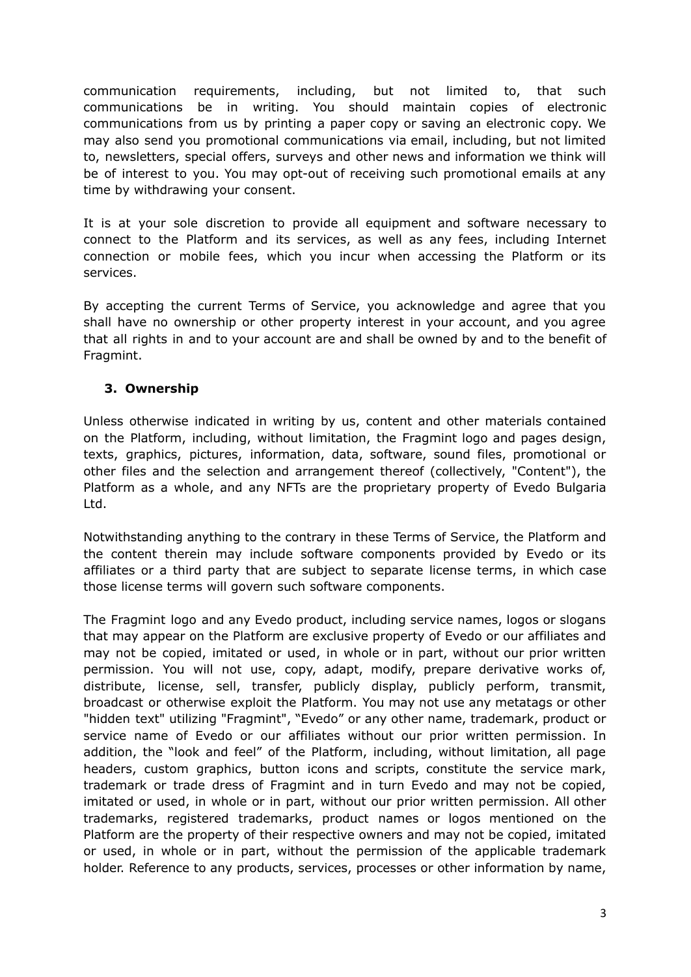communication requirements, including, but not limited to, that such communications be in writing. You should maintain copies of electronic communications from us by printing a paper copy or saving an electronic copy. We may also send you promotional communications via email, including, but not limited to, newsletters, special offers, surveys and other news and information we think will be of interest to you. You may opt-out of receiving such promotional emails at any time by withdrawing your consent.

It is at your sole discretion to provide all equipment and software necessary to connect to the Platform and its services, as well as any fees, including Internet connection or mobile fees, which you incur when accessing the Platform or its services.

By accepting the current Terms of Service, you acknowledge and agree that you shall have no ownership or other property interest in your account, and you agree that all rights in and to your account are and shall be owned by and to the benefit of Fragmint.

## **3. Ownership**

Unless otherwise indicated in writing by us, content and other materials contained on the Platform, including, without limitation, the Fragmint logo and pages design, texts, graphics, pictures, information, data, software, sound files, promotional or other files and the selection and arrangement thereof (collectively, "Content"), the Platform as a whole, and any NFTs are the proprietary property of Evedo Bulgaria Ltd.

Notwithstanding anything to the contrary in these Terms of Service, the Platform and the content therein may include software components provided by Evedo or its affiliates or a third party that are subject to separate license terms, in which case those license terms will govern such software components.

The Fragmint logo and any Evedo product, including service names, logos or slogans that may appear on the Platform are exclusive property of Evedo or our affiliates and may not be copied, imitated or used, in whole or in part, without our prior written permission. You will not use, copy, adapt, modify, prepare derivative works of, distribute, license, sell, transfer, publicly display, publicly perform, transmit, broadcast or otherwise exploit the Platform. You may not use any metatags or other "hidden text" utilizing "Fragmint", "Evedo" or any other name, trademark, product or service name of Evedo or our affiliates without our prior written permission. In addition, the "look and feel" of the Platform, including, without limitation, all page headers, custom graphics, button icons and scripts, constitute the service mark, trademark or trade dress of Fragmint and in turn Evedo and may not be copied, imitated or used, in whole or in part, without our prior written permission. All other trademarks, registered trademarks, product names or logos mentioned on the Platform are the property of their respective owners and may not be copied, imitated or used, in whole or in part, without the permission of the applicable trademark holder. Reference to any products, services, processes or other information by name,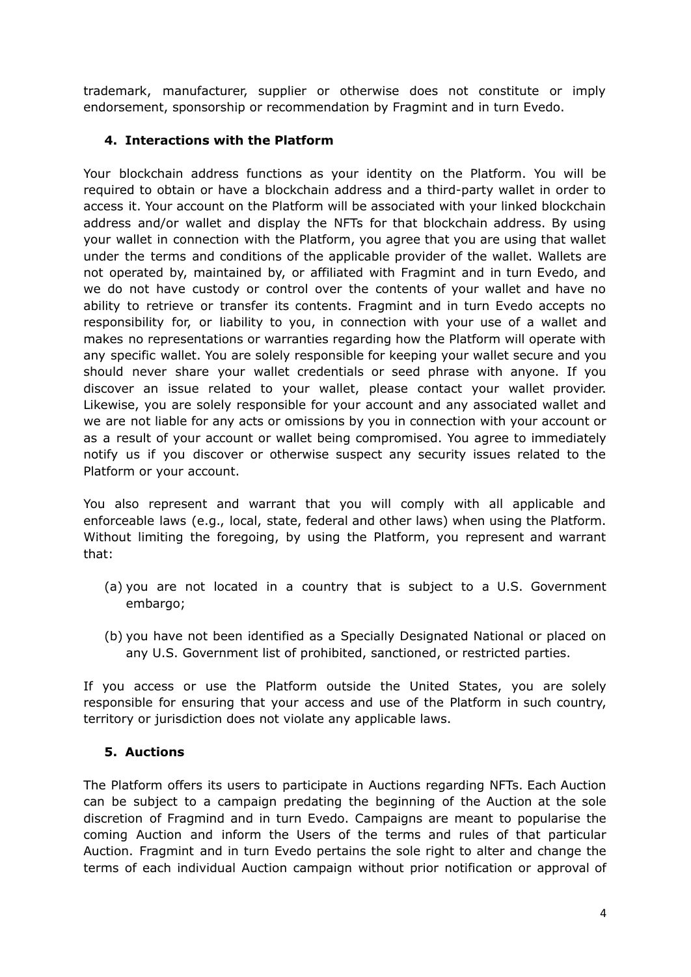trademark, manufacturer, supplier or otherwise does not constitute or imply endorsement, sponsorship or recommendation by Fragmint and in turn Evedo.

## **4. Interactions with the Platform**

Your blockchain address functions as your identity on the Platform. You will be required to obtain or have a blockchain address and a third-party wallet in order to access it. Your account on the Platform will be associated with your linked blockchain address and/or wallet and display the NFTs for that blockchain address. By using your wallet in connection with the Platform, you agree that you are using that wallet under the terms and conditions of the applicable provider of the wallet. Wallets are not operated by, maintained by, or affiliated with Fragmint and in turn Evedo, and we do not have custody or control over the contents of your wallet and have no ability to retrieve or transfer its contents. Fragmint and in turn Evedo accepts no responsibility for, or liability to you, in connection with your use of a wallet and makes no representations or warranties regarding how the Platform will operate with any specific wallet. You are solely responsible for keeping your wallet secure and you should never share your wallet credentials or seed phrase with anyone. If you discover an issue related to your wallet, please contact your wallet provider. Likewise, you are solely responsible for your account and any associated wallet and we are not liable for any acts or omissions by you in connection with your account or as a result of your account or wallet being compromised. You agree to immediately notify us if you discover or otherwise suspect any security issues related to the Platform or your account.

You also represent and warrant that you will comply with all applicable and enforceable laws (e.g., local, state, federal and other laws) when using the Platform. Without limiting the foregoing, by using the Platform, you represent and warrant that:

- (a) you are not located in a country that is subject to a U.S. Government embargo;
- (b) you have not been identified as a Specially Designated National or placed on any U.S. Government list of prohibited, sanctioned, or restricted parties.

If you access or use the Platform outside the United States, you are solely responsible for ensuring that your access and use of the Platform in such country, territory or jurisdiction does not violate any applicable laws.

## **5. Auctions**

The Platform offers its users to participate in Auctions regarding NFTs. Each Auction can be subject to a campaign predating the beginning of the Auction at the sole discretion of Fragmind and in turn Evedo. Campaigns are meant to popularise the coming Auction and inform the Users of the terms and rules of that particular Auction. Fragmint and in turn Evedo pertains the sole right to alter and change the terms of each individual Auction campaign without prior notification or approval of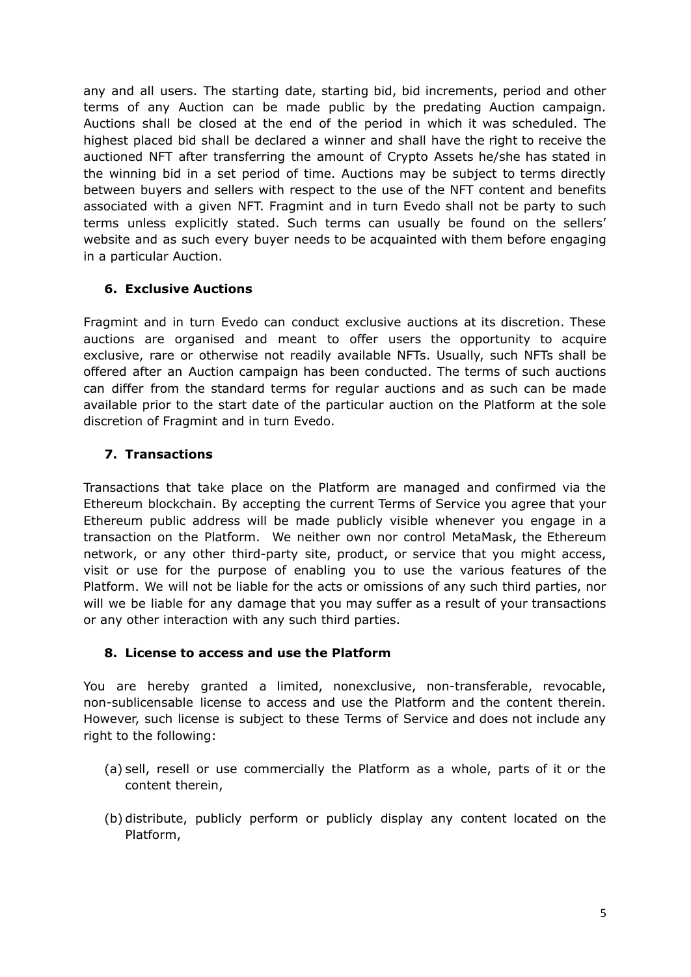any and all users. The starting date, starting bid, bid increments, period and other terms of any Auction can be made public by the predating Auction campaign. Auctions shall be closed at the end of the period in which it was scheduled. The highest placed bid shall be declared a winner and shall have the right to receive the auctioned NFT after transferring the amount of Crypto Assets he/she has stated in the winning bid in a set period of time. Auctions may be subject to terms directly between buyers and sellers with respect to the use of the NFT content and benefits associated with a given NFT. Fragmint and in turn Evedo shall not be party to such terms unless explicitly stated. Such terms can usually be found on the sellers' website and as such every buyer needs to be acquainted with them before engaging in a particular Auction.

## **6. Exclusive Auctions**

Fragmint and in turn Evedo can conduct exclusive auctions at its discretion. These auctions are organised and meant to offer users the opportunity to acquire exclusive, rare or otherwise not readily available NFTs. Usually, such NFTs shall be offered after an Auction campaign has been conducted. The terms of such auctions can differ from the standard terms for regular auctions and as such can be made available prior to the start date of the particular auction on the Platform at the sole discretion of Fragmint and in turn Evedo.

#### **7. Transactions**

Transactions that take place on the Platform are managed and confirmed via the Ethereum blockchain. By accepting the current Terms of Service you agree that your Ethereum public address will be made publicly visible whenever you engage in a transaction on the Platform. We neither own nor control MetaMask, the Ethereum network, or any other third-party site, product, or service that you might access, visit or use for the purpose of enabling you to use the various features of the Platform. We will not be liable for the acts or omissions of any such third parties, nor will we be liable for any damage that you may suffer as a result of your transactions or any other interaction with any such third parties.

#### **8. License to access and use the Platform**

You are hereby granted a limited, nonexclusive, non-transferable, revocable, non-sublicensable license to access and use the Platform and the content therein. However, such license is subject to these Terms of Service and does not include any right to the following:

- (a) sell, resell or use commercially the Platform as a whole, parts of it or the content therein,
- (b) distribute, publicly perform or publicly display any content located on the Platform,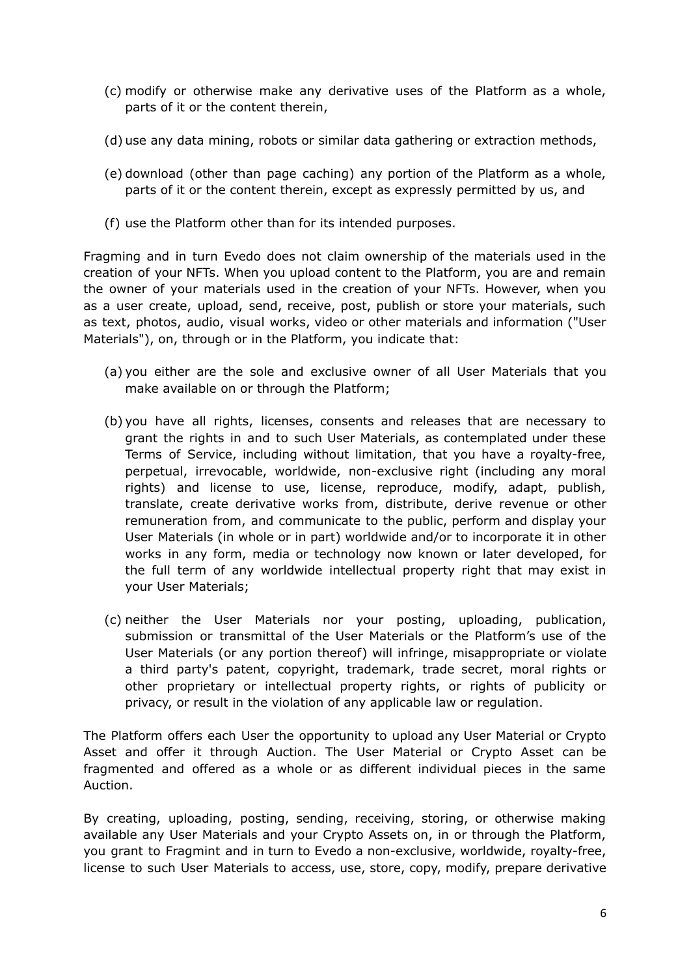- (c) modify or otherwise make any derivative uses of the Platform as a whole, parts of it or the content therein,
- (d) use any data mining, robots or similar data gathering or extraction methods,
- (e) download (other than page caching) any portion of the Platform as a whole, parts of it or the content therein, except as expressly permitted by us, and
- (f) use the Platform other than for its intended purposes.

Fragming and in turn Evedo does not claim ownership of the materials used in the creation of your NFTs. When you upload content to the Platform, you are and remain the owner of your materials used in the creation of your NFTs. However, when you as a user create, upload, send, receive, post, publish or store your materials, such as text, photos, audio, visual works, video or other materials and information ("User Materials"), on, through or in the Platform, you indicate that:

- (a) you either are the sole and exclusive owner of all User Materials that you make available on or through the Platform;
- (b) you have all rights, licenses, consents and releases that are necessary to grant the rights in and to such User Materials, as contemplated under these Terms of Service, including without limitation, that you have a royalty-free, perpetual, irrevocable, worldwide, non-exclusive right (including any moral rights) and license to use, license, reproduce, modify, adapt, publish, translate, create derivative works from, distribute, derive revenue or other remuneration from, and communicate to the public, perform and display your User Materials (in whole or in part) worldwide and/or to incorporate it in other works in any form, media or technology now known or later developed, for the full term of any worldwide intellectual property right that may exist in your User Materials;
- (c) neither the User Materials nor your posting, uploading, publication, submission or transmittal of the User Materials or the Platform's use of the User Materials (or any portion thereof) will infringe, misappropriate or violate a third party's patent, copyright, trademark, trade secret, moral rights or other proprietary or intellectual property rights, or rights of publicity or privacy, or result in the violation of any applicable law or regulation.

The Platform offers each User the opportunity to upload any User Material or Crypto Asset and offer it through Auction. The User Material or Crypto Asset can be fragmented and offered as a whole or as different individual pieces in the same Auction.

By creating, uploading, posting, sending, receiving, storing, or otherwise making available any User Materials and your Crypto Assets on, in or through the Platform, you grant to Fragmint and in turn to Evedo a non-exclusive, worldwide, royalty-free, license to such User Materials to access, use, store, copy, modify, prepare derivative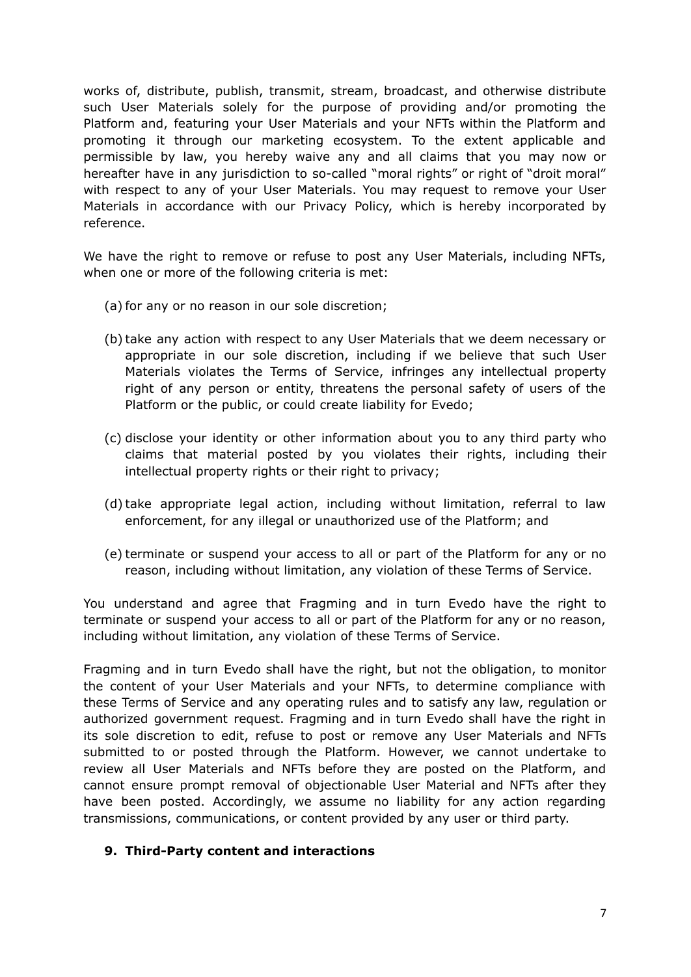works of, distribute, publish, transmit, stream, broadcast, and otherwise distribute such User Materials solely for the purpose of providing and/or promoting the Platform and, featuring your User Materials and your NFTs within the Platform and promoting it through our marketing ecosystem. To the extent applicable and permissible by law, you hereby waive any and all claims that you may now or hereafter have in any jurisdiction to so-called "moral rights" or right of "droit moral" with respect to any of your User Materials. You may request to remove your User Materials in accordance with our Privacy Policy, which is hereby incorporated by reference.

We have the right to remove or refuse to post any User Materials, including NFTs, when one or more of the following criteria is met:

- (a) for any or no reason in our sole discretion;
- (b) take any action with respect to any User Materials that we deem necessary or appropriate in our sole discretion, including if we believe that such User Materials violates the Terms of Service, infringes any intellectual property right of any person or entity, threatens the personal safety of users of the Platform or the public, or could create liability for Evedo;
- (c) disclose your identity or other information about you to any third party who claims that material posted by you violates their rights, including their intellectual property rights or their right to privacy;
- (d) take appropriate legal action, including without limitation, referral to law enforcement, for any illegal or unauthorized use of the Platform; and
- (e) terminate or suspend your access to all or part of the Platform for any or no reason, including without limitation, any violation of these Terms of Service.

You understand and agree that Fragming and in turn Evedo have the right to terminate or suspend your access to all or part of the Platform for any or no reason, including without limitation, any violation of these Terms of Service.

Fragming and in turn Evedo shall have the right, but not the obligation, to monitor the content of your User Materials and your NFTs, to determine compliance with these Terms of Service and any operating rules and to satisfy any law, regulation or authorized government request. Fragming and in turn Evedo shall have the right in its sole discretion to edit, refuse to post or remove any User Materials and NFTs submitted to or posted through the Platform. However, we cannot undertake to review all User Materials and NFTs before they are posted on the Platform, and cannot ensure prompt removal of objectionable User Material and NFTs after they have been posted. Accordingly, we assume no liability for any action regarding transmissions, communications, or content provided by any user or third party.

#### **9. Third-Party content and interactions**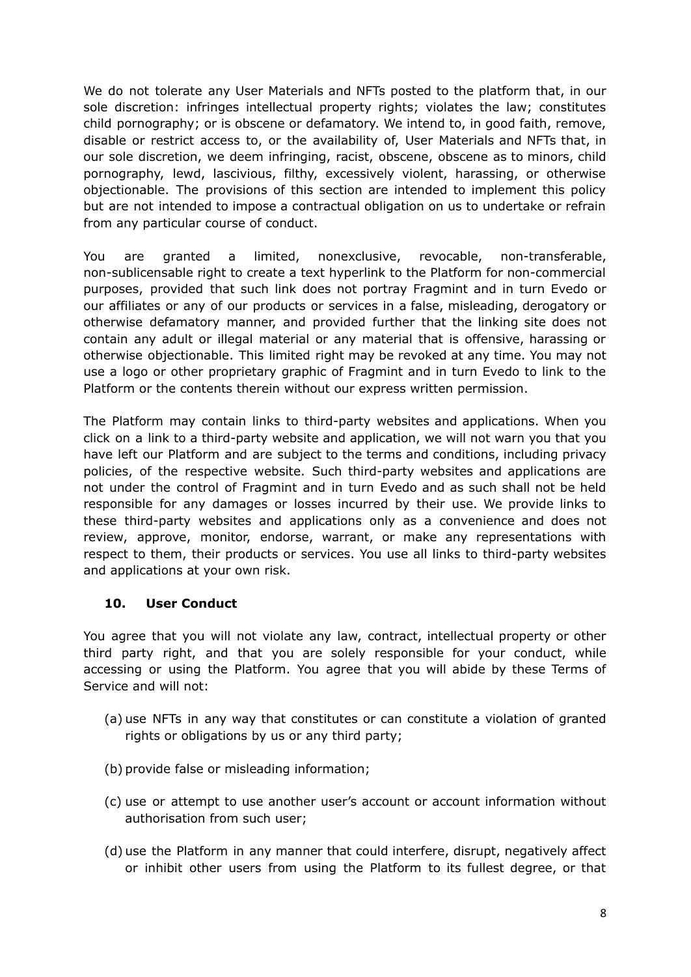We do not tolerate any User Materials and NFTs posted to the platform that, in our sole discretion: infringes intellectual property rights; violates the law; constitutes child pornography; or is obscene or defamatory. We intend to, in good faith, remove, disable or restrict access to, or the availability of, User Materials and NFTs that, in our sole discretion, we deem infringing, racist, obscene, obscene as to minors, child pornography, lewd, lascivious, filthy, excessively violent, harassing, or otherwise objectionable. The provisions of this section are intended to implement this policy but are not intended to impose a contractual obligation on us to undertake or refrain from any particular course of conduct.

You are granted a limited, nonexclusive, revocable, non-transferable, non-sublicensable right to create a text hyperlink to the Platform for non-commercial purposes, provided that such link does not portray Fragmint and in turn Evedo or our affiliates or any of our products or services in a false, misleading, derogatory or otherwise defamatory manner, and provided further that the linking site does not contain any adult or illegal material or any material that is offensive, harassing or otherwise objectionable. This limited right may be revoked at any time. You may not use a logo or other proprietary graphic of Fragmint and in turn Evedo to link to the Platform or the contents therein without our express written permission.

The Platform may contain links to third-party websites and applications. When you click on a link to a third-party website and application, we will not warn you that you have left our Platform and are subject to the terms and conditions, including privacy policies, of the respective website. Such third-party websites and applications are not under the control of Fragmint and in turn Evedo and as such shall not be held responsible for any damages or losses incurred by their use. We provide links to these third-party websites and applications only as a convenience and does not review, approve, monitor, endorse, warrant, or make any representations with respect to them, their products or services. You use all links to third-party websites and applications at your own risk.

## **10. User Conduct**

You agree that you will not violate any law, contract, intellectual property or other third party right, and that you are solely responsible for your conduct, while accessing or using the Platform. You agree that you will abide by these Terms of Service and will not:

- (a) use NFTs in any way that constitutes or can constitute a violation of granted rights or obligations by us or any third party;
- (b) provide false or misleading information;
- (c) use or attempt to use another user's account or account information without authorisation from such user;
- (d) use the Platform in any manner that could interfere, disrupt, negatively affect or inhibit other users from using the Platform to its fullest degree, or that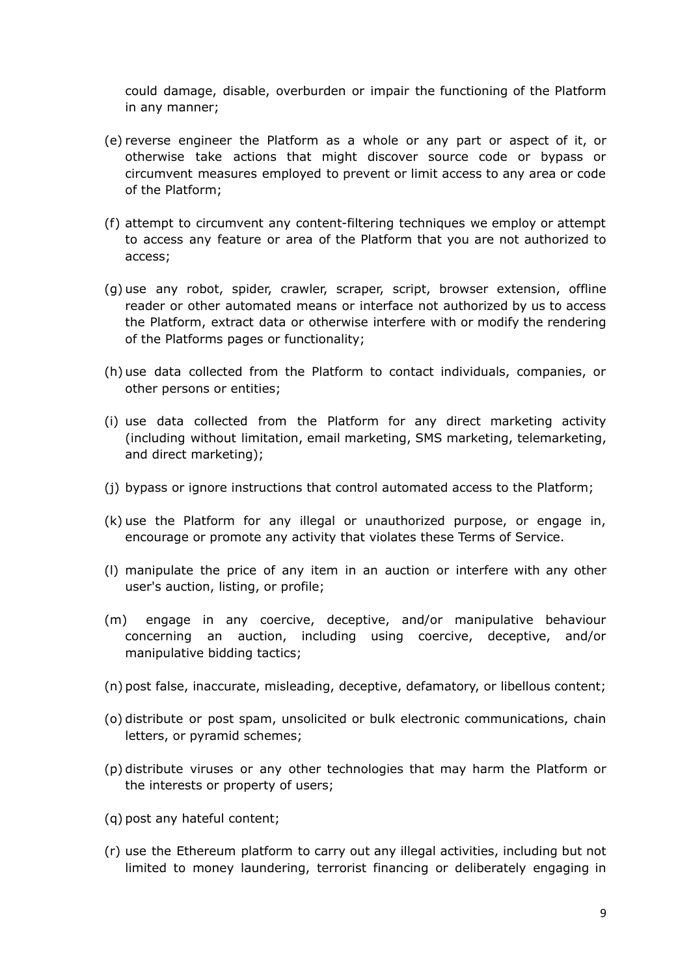could damage, disable, overburden or impair the functioning of the Platform in any manner;

- (e) reverse engineer the Platform as a whole or any part or aspect of it, or otherwise take actions that might discover source code or bypass or circumvent measures employed to prevent or limit access to any area or code of the Platform;
- (f) attempt to circumvent any content-filtering techniques we employ or attempt to access any feature or area of the Platform that you are not authorized to access;
- (g) use any robot, spider, crawler, scraper, script, browser extension, offline reader or other automated means or interface not authorized by us to access the Platform, extract data or otherwise interfere with or modify the rendering of the Platforms pages or functionality;
- (h) use data collected from the Platform to contact individuals, companies, or other persons or entities;
- (i) use data collected from the Platform for any direct marketing activity (including without limitation, email marketing, SMS marketing, telemarketing, and direct marketing);
- (j) bypass or ignore instructions that control automated access to the Platform;
- (k) use the Platform for any illegal or unauthorized purpose, or engage in, encourage or promote any activity that violates these Terms of Service.
- (l) manipulate the price of any item in an auction or interfere with any other user's auction, listing, or profile;
- (m) engage in any coercive, deceptive, and/or manipulative behaviour concerning an auction, including using coercive, deceptive, and/or manipulative bidding tactics;
- (n) post false, inaccurate, misleading, deceptive, defamatory, or libellous content;
- (o) distribute or post spam, unsolicited or bulk electronic communications, chain letters, or pyramid schemes;
- (p) distribute viruses or any other technologies that may harm the Platform or the interests or property of users;
- (q) post any hateful content;
- (r) use the Ethereum platform to carry out any illegal activities, including but not limited to money laundering, terrorist financing or deliberately engaging in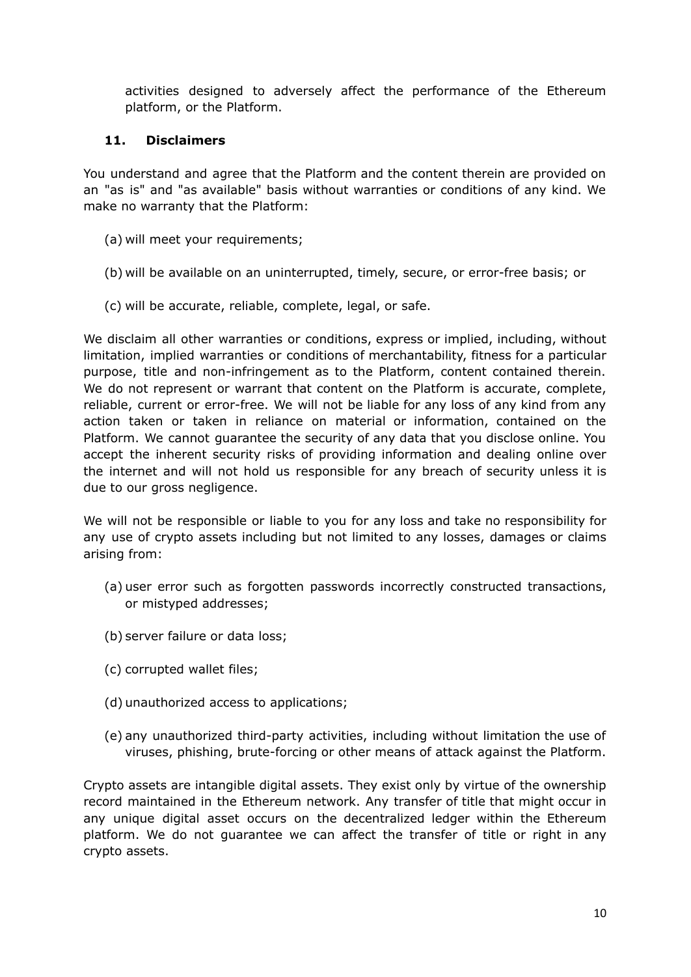activities designed to adversely affect the performance of the Ethereum platform, or the Platform.

## **11. Disclaimers**

You understand and agree that the Platform and the content therein are provided on an "as is" and "as available" basis without warranties or conditions of any kind. We make no warranty that the Platform:

- (a) will meet your requirements;
- (b) will be available on an uninterrupted, timely, secure, or error-free basis; or
- (c) will be accurate, reliable, complete, legal, or safe.

We disclaim all other warranties or conditions, express or implied, including, without limitation, implied warranties or conditions of merchantability, fitness for a particular purpose, title and non-infringement as to the Platform, content contained therein. We do not represent or warrant that content on the Platform is accurate, complete, reliable, current or error-free. We will not be liable for any loss of any kind from any action taken or taken in reliance on material or information, contained on the Platform. We cannot guarantee the security of any data that you disclose online. You accept the inherent security risks of providing information and dealing online over the internet and will not hold us responsible for any breach of security unless it is due to our gross negligence.

We will not be responsible or liable to you for any loss and take no responsibility for any use of crypto assets including but not limited to any losses, damages or claims arising from:

- (a) user error such as forgotten passwords incorrectly constructed transactions, or mistyped addresses;
- (b) server failure or data loss;
- (c) corrupted wallet files;
- (d) unauthorized access to applications;
- (e) any unauthorized third-party activities, including without limitation the use of viruses, phishing, brute-forcing or other means of attack against the Platform.

Crypto assets are intangible digital assets. They exist only by virtue of the ownership record maintained in the Ethereum network. Any transfer of title that might occur in any unique digital asset occurs on the decentralized ledger within the Ethereum platform. We do not guarantee we can affect the transfer of title or right in any crypto assets.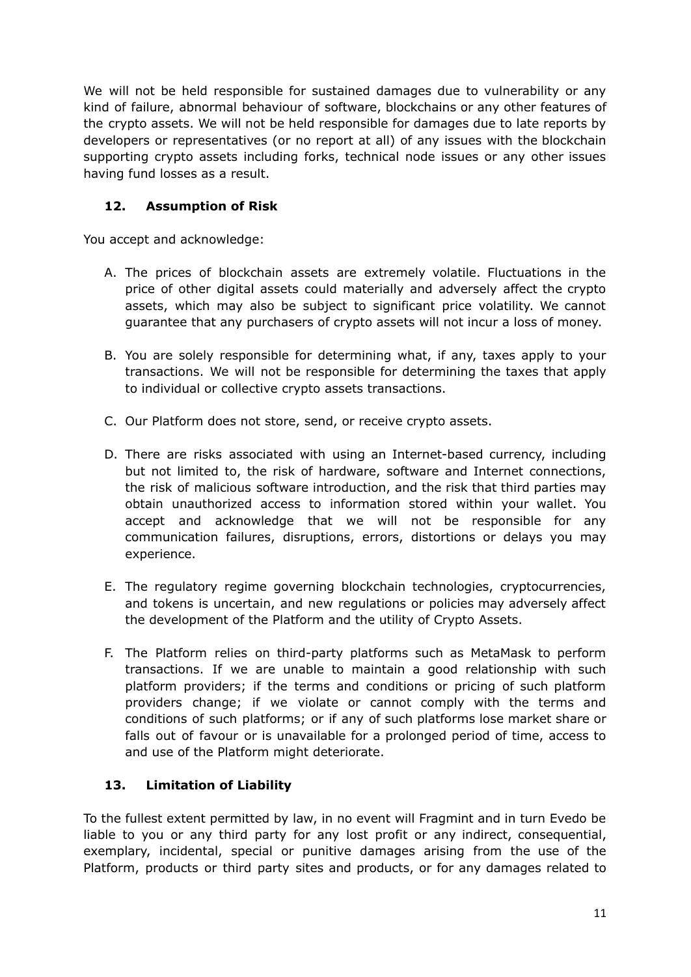We will not be held responsible for sustained damages due to vulnerability or any kind of failure, abnormal behaviour of software, blockchains or any other features of the crypto assets. We will not be held responsible for damages due to late reports by developers or representatives (or no report at all) of any issues with the blockchain supporting crypto assets including forks, technical node issues or any other issues having fund losses as a result.

## **12. Assumption of Risk**

You accept and acknowledge:

- A. The prices of blockchain assets are extremely volatile. Fluctuations in the price of other digital assets could materially and adversely affect the crypto assets, which may also be subject to significant price volatility. We cannot guarantee that any purchasers of crypto assets will not incur a loss of money.
- B. You are solely responsible for determining what, if any, taxes apply to your transactions. We will not be responsible for determining the taxes that apply to individual or collective crypto assets transactions.
- C. Our Platform does not store, send, or receive crypto assets.
- D. There are risks associated with using an Internet-based currency, including but not limited to, the risk of hardware, software and Internet connections, the risk of malicious software introduction, and the risk that third parties may obtain unauthorized access to information stored within your wallet. You accept and acknowledge that we will not be responsible for any communication failures, disruptions, errors, distortions or delays you may experience.
- E. The regulatory regime governing blockchain technologies, cryptocurrencies, and tokens is uncertain, and new regulations or policies may adversely affect the development of the Platform and the utility of Crypto Assets.
- F. The Platform relies on third-party platforms such as MetaMask to perform transactions. If we are unable to maintain a good relationship with such platform providers; if the terms and conditions or pricing of such platform providers change; if we violate or cannot comply with the terms and conditions of such platforms; or if any of such platforms lose market share or falls out of favour or is unavailable for a prolonged period of time, access to and use of the Platform might deteriorate.

## **13. Limitation of Liability**

To the fullest extent permitted by law, in no event will Fragmint and in turn Evedo be liable to you or any third party for any lost profit or any indirect, consequential, exemplary, incidental, special or punitive damages arising from the use of the Platform, products or third party sites and products, or for any damages related to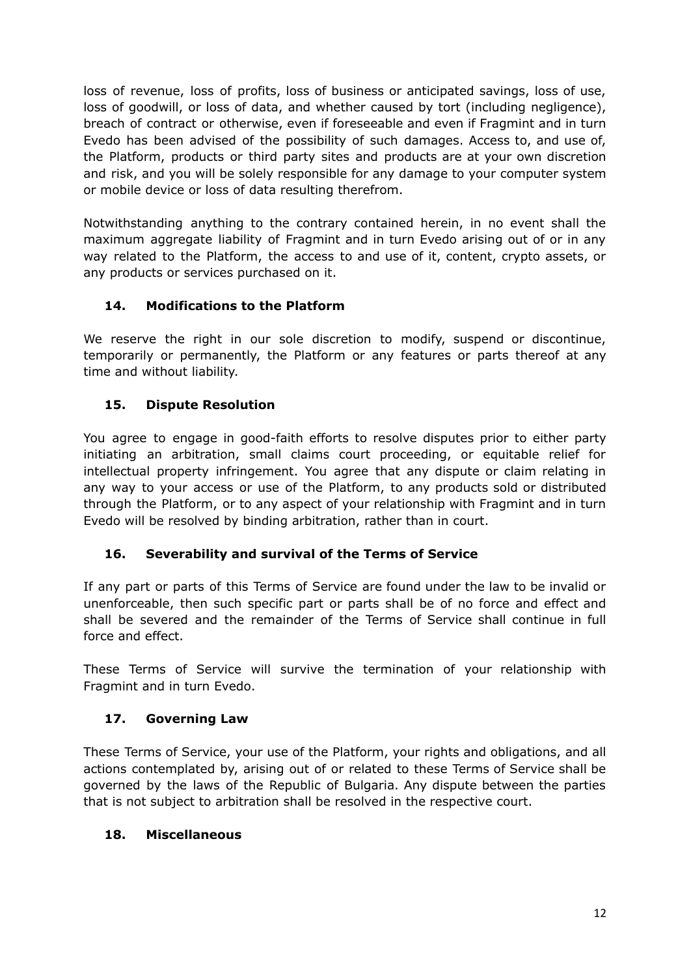loss of revenue, loss of profits, loss of business or anticipated savings, loss of use, loss of goodwill, or loss of data, and whether caused by tort (including negligence), breach of contract or otherwise, even if foreseeable and even if Fragmint and in turn Evedo has been advised of the possibility of such damages. Access to, and use of, the Platform, products or third party sites and products are at your own discretion and risk, and you will be solely responsible for any damage to your computer system or mobile device or loss of data resulting therefrom.

Notwithstanding anything to the contrary contained herein, in no event shall the maximum aggregate liability of Fragmint and in turn Evedo arising out of or in any way related to the Platform, the access to and use of it, content, crypto assets, or any products or services purchased on it.

## **14. Modifications to the Platform**

We reserve the right in our sole discretion to modify, suspend or discontinue, temporarily or permanently, the Platform or any features or parts thereof at any time and without liability.

## **15. Dispute Resolution**

You agree to engage in good-faith efforts to resolve disputes prior to either party initiating an arbitration, small claims court proceeding, or equitable relief for intellectual property infringement. You agree that any dispute or claim relating in any way to your access or use of the Platform, to any products sold or distributed through the Platform, or to any aspect of your relationship with Fragmint and in turn Evedo will be resolved by binding arbitration, rather than in court.

## **16. Severability and survival of the Terms of Service**

If any part or parts of this Terms of Service are found under the law to be invalid or unenforceable, then such specific part or parts shall be of no force and effect and shall be severed and the remainder of the Terms of Service shall continue in full force and effect.

These Terms of Service will survive the termination of your relationship with Fragmint and in turn Evedo.

## **17. Governing Law**

These Terms of Service, your use of the Platform, your rights and obligations, and all actions contemplated by, arising out of or related to these Terms of Service shall be governed by the laws of the Republic of Bulgaria. Any dispute between the parties that is not subject to arbitration shall be resolved in the respective court.

## **18. Miscellaneous**